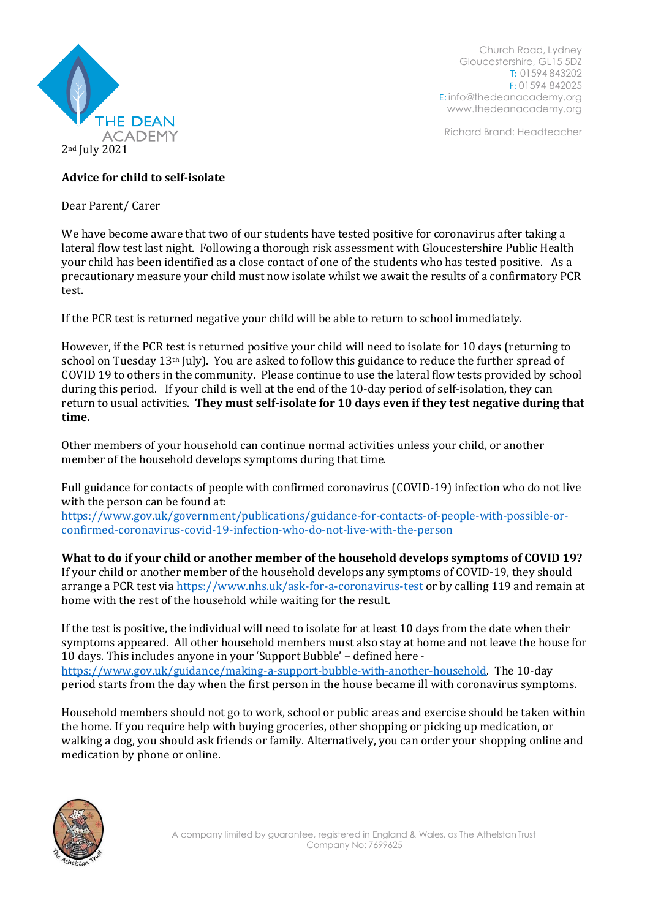

Church Road, Lydney Gloucestershire, GL15 5DZ T: 01594 843202 F: 01594 842025 E: [info@thedeanacademy.org](mailto:info@thedeanacademy.org) [www.thedeanacademy.org](http://www.thedeanacademy.org/)

Richard Brand: Headteacher

## **Advice for child to self-isolate**

Dear Parent/ Carer

We have become aware that two of our students have tested positive for coronavirus after taking a lateral flow test last night. Following a thorough risk assessment with Gloucestershire Public Health your child has been identified as a close contact of one of the students who has tested positive. As a precautionary measure your child must now isolate whilst we await the results of a confirmatory PCR test.

If the PCR test is returned negative your child will be able to return to school immediately.

However, if the PCR test is returned positive your child will need to isolate for 10 days (returning to school on Tuesday 13th July). You are asked to follow this guidance to reduce the further spread of COVID 19 to others in the community. Please continue to use the lateral flow tests provided by school during this period. If your child is well at the end of the 10-day period of self-isolation, they can return to usual activities. **They must self-isolate for 10 days even if they test negative during that time.**

Other members of your household can continue normal activities unless your child, or another member of the household develops symptoms during that time.

Full guidance for contacts of people with confirmed coronavirus (COVID-19) infection who do not live with the person can be found at:

[https://www.gov.uk/government/publications/guidance-for-contacts-of-people-with-possible-or](https://www.gov.uk/government/publications/guidance-for-contacts-of-people-with-possible-or-confirmed-coronavirus-covid-19-infection-who-do-not-live-with-the-person)[confirmed-coronavirus-covid-19-infection-who-do-not-live-with-the-person](https://www.gov.uk/government/publications/guidance-for-contacts-of-people-with-possible-or-confirmed-coronavirus-covid-19-infection-who-do-not-live-with-the-person)

**What to do if your child or another member of the household develops symptoms of COVID 19?** If your child or another member of the household develops any symptoms of COVID-19, they should arrange a PCR test vi[a https://www.nhs.uk/ask-for-a-coronavirus-test](https://www.nhs.uk/ask-for-a-coronavirus-test) or by calling 119 and remain at home with the rest of the household while waiting for the result.

If the test is positive, the individual will need to isolate for at least 10 days from the date when their symptoms appeared. All other household members must also stay at home and not leave the house for 10 days. This includes anyone in your 'Support Bubble' – defined here [https://www.gov.uk/guidance/making-a-support-bubble-with-another-household.](https://www.gov.uk/guidance/making-a-support-bubble-with-another-household) The 10-day period starts from the day when the first person in the house became ill with coronavirus symptoms.

Household members should not go to work, school or public areas and exercise should be taken within the home. If you require help with buying groceries, other shopping or picking up medication, or walking a dog, you should ask friends or family. Alternatively, you can order your shopping online and medication by phone or online.